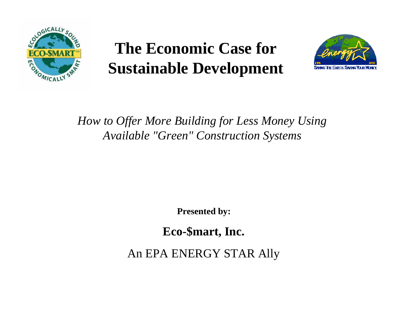

# **The Economic Case for Sustainable Development**



#### *How to Offer More Building for Less Money Using Available "Green" Construction Systems*

**Presented by:**

**Eco-\$mart, Inc.**

An EPA ENERGY STAR Ally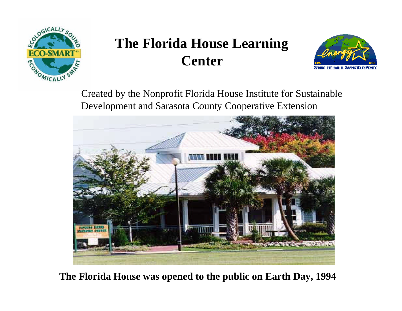

# **The Florida House Learning Center**



Created by the Nonprofit Florida House Institute for Sustainable Development and Sarasota County Cooperative Extension



**The Florida House was opened to the public on Earth Day, 1994**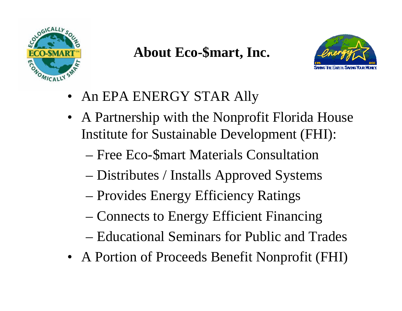

### **About Eco-\$mart, Inc.**



- An EPA ENERGY STAR Ally
- A Partnership with the Nonprofit Florida House Institute for Sustainable Development (FHI):
	- Free Eco-\$mart Materials Consultation
	- Distributes / Installs Approved Systems
	- Provides Energy Efficiency Ratings
	- Connects to Energy Efficient Financing
	- Educational Seminars for Public and Trades
- A Portion of Proceeds Benefit Nonprofit (FHI)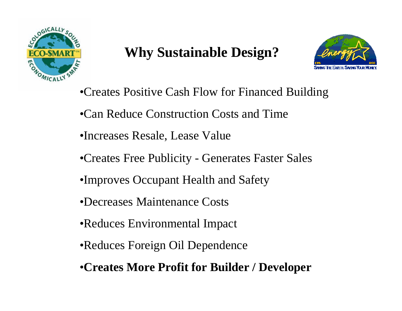

## **Why Sustainable Design?**



- •Creates Positive Cash Flow for Financed Building
- •Can Reduce Construction Costs and Time
- •Increases Resale, Lease Value
- •Creates Free Publicity Generates Faster Sales
- •Improves Occupant Health and Safety
- •Decreases Maintenance Costs
- •Reduces Environmental Impact
- •Reduces Foreign Oil Dependence
- •**Creates More Profit for Builder / Developer**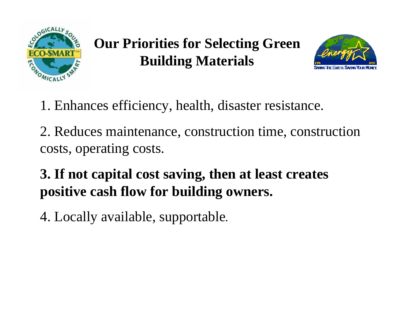

**Our Priorities for Selecting Green Building Materials**



1. Enhances efficiency, health, disaster resistance.

2. Reduces maintenance, construction time, construction costs, operating costs.

**3. If not capital cost saving, then at least creates positive cash flow for building owners.**

4. Locally available, supportable.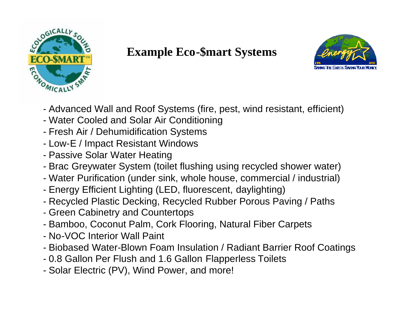

#### **Example Eco-\$mart Systems**



- Advanced Wall and Roof Systems (fire, pest, wind resistant, efficient)
- Water Cooled and Solar Air Conditioning
- Fresh Air / Dehumidification Systems
- Low-E / Impact Resistant Windows
- Passive Solar Water Heating
- Brac Greywater System (toilet flushing using recycled shower water)
- Water Purification (under sink, whole house, commercial / industrial)
- Energy Efficient Lighting (LED, fluorescent, daylighting)
- Recycled Plastic Decking, Recycled Rubber Porous Paving / Paths
- Green Cabinetry and Countertops
- Bamboo, Coconut Palm, Cork Flooring, Natural Fiber Carpets
- No-VOC Interior Wall Paint
- Biobased Water-Blown Foam Insulation / Radiant Barrier Roof Coatings
- 0.8 Gallon Per Flush and 1.6 Gallon Flapperless Toilets
- Solar Electric (PV), Wind Power, and more!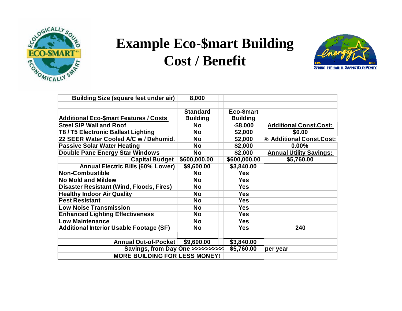

# **Example Eco-\$mart Building Cost / Benefit**



| <b>Building Size (square feet under air)</b>    | 8,000           |                 |                                |
|-------------------------------------------------|-----------------|-----------------|--------------------------------|
|                                                 |                 |                 |                                |
|                                                 | <b>Standard</b> | Eco-\$mart      |                                |
| <b>Additional Eco-\$mart Features / Costs</b>   | <b>Building</b> | <b>Building</b> |                                |
| <b>Steel SIP Wall and Roof</b>                  | <b>No</b>       | $-$8,000$       | <b>Additional Const.Cost:</b>  |
| T8/T5 Electronic Ballast Lighting               | <b>No</b>       | \$2,000         | \$0.00                         |
| 22 SEER Water Cooled A/C w / Dehumid.           | <b>No</b>       | \$2,000         | % Additional Const.Cost:       |
| <b>Passive Solar Water Heating</b>              | <b>No</b>       | \$2,000         | $0.00\%$                       |
| <b>Double Pane Energy Star Windows</b>          | <b>No</b>       | \$2,000         | <b>Annual Utility Savings:</b> |
| <b>Capital Budget</b>                           | \$600,000.00    | \$600,000.00    | \$5,760.00                     |
| <b>Annual Electric Bills (60% Lower)</b>        | \$9,600.00      | \$3,840.00      |                                |
| <b>Non-Combustible</b>                          | <b>No</b>       | <b>Yes</b>      |                                |
| <b>No Mold and Mildew</b>                       | <b>No</b>       | <b>Yes</b>      |                                |
| <b>Disaster Resistant (Wind, Floods, Fires)</b> | <b>No</b>       | <b>Yes</b>      |                                |
| <b>Healthy Indoor Air Quality</b>               | <b>No</b>       | <b>Yes</b>      |                                |
| <b>Pest Resistant</b>                           | <b>No</b>       | <b>Yes</b>      |                                |
| <b>Low Noise Transmission</b>                   | <b>No</b>       | <b>Yes</b>      |                                |
| <b>Enhanced Lighting Effectiveness</b>          | <b>No</b>       | <b>Yes</b>      |                                |
| <b>Low Maintenance</b>                          | <b>No</b>       | <b>Yes</b>      |                                |
| <b>Additional Interior Usable Footage (SF)</b>  | No              | <b>Yes</b>      | 240                            |
|                                                 |                 |                 |                                |
| Annual Out-of-Pocket                            | \$9,600.00      | \$3,840.00      |                                |
| Savings, from Day One >>>>>>>>>>                |                 | \$5,760.00      | per year                       |
| <b>MORE BUILDING FOR LESS MONEY!</b>            |                 |                 |                                |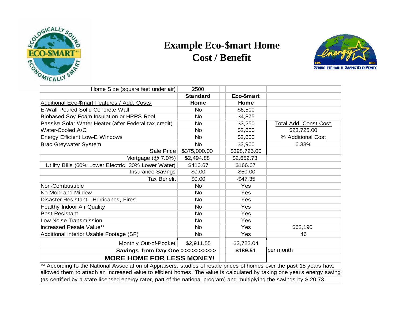

#### **Example Eco-\$mart Home Cost / Benefit**



| Home Size (square feet under air)                                                                                       | 2500            |              |                               |  |
|-------------------------------------------------------------------------------------------------------------------------|-----------------|--------------|-------------------------------|--|
|                                                                                                                         | <b>Standard</b> | Eco-\$mart   |                               |  |
| Additional Eco-\$mart Features / Add. Costs                                                                             | Home            | Home         |                               |  |
| <b>E-Wall Poured Solid Concrete Wall</b>                                                                                | <b>No</b>       | \$6,500      |                               |  |
| Biobased Soy Foam Insulation or HPRS Roof                                                                               | <b>No</b>       | \$4,875      |                               |  |
| Passive Solar Water Heater (after Federal tax credit)                                                                   | <b>No</b>       | \$3,250      | <b>Total Add. Const. Cost</b> |  |
| Water-Cooled A/C                                                                                                        | <b>No</b>       | \$2,600      | \$23,725.00                   |  |
| Energy Efficient Low-E Windows                                                                                          | <b>No</b>       | \$2,600      | % Additional Cost             |  |
| <b>Brac Greywater System</b>                                                                                            | <b>No</b>       | \$3,900      | 6.33%                         |  |
| Sale Price                                                                                                              | \$375,000.00    | \$398,725.00 |                               |  |
| Mortgage $(\textcircled{a} 7.0\%)$                                                                                      | \$2,494.88      | \$2,652.73   |                               |  |
| Utility Bills (60% Lower Electric, 30% Lower Water)                                                                     | \$416.67        | \$166.67     |                               |  |
| <b>Insurance Savings</b>                                                                                                | \$0.00          | $-$50.00$    |                               |  |
| <b>Tax Benefit</b>                                                                                                      | \$0.00          | $-$47.35$    |                               |  |
| Non-Combustible                                                                                                         | <b>No</b>       | Yes          |                               |  |
| No Mold and Mildew                                                                                                      | <b>No</b>       | Yes          |                               |  |
| Disaster Resistant - Hurricanes, Fires                                                                                  | No              | Yes          |                               |  |
| <b>Healthy Indoor Air Quality</b>                                                                                       | <b>No</b>       | Yes          |                               |  |
| <b>Pest Resistant</b>                                                                                                   | <b>No</b>       | Yes          |                               |  |
| <b>Low Noise Transmission</b>                                                                                           | No              | Yes          |                               |  |
| Increased Resale Value**                                                                                                | <b>No</b>       | Yes          | \$62,190                      |  |
| Additional Interior Usable Footage (SF)                                                                                 | <b>No</b>       | Yes          | 46                            |  |
| Monthly Out-of-Pocket                                                                                                   | \$2,911.55      | \$2,722.04   |                               |  |
| Savings, from Day One >>>>>>>>>>                                                                                        |                 | \$189.51     | per month                     |  |
| <b>MORE HOME FOR LESS MONEY!</b>                                                                                        |                 |              |                               |  |
| ** According to the National Association of Appraisers, studies of resale prices of homes over the past 15 years have   |                 |              |                               |  |
| allowed them to attach an increased value to effcient homes. The value is calculated by taking one year's energy saving |                 |              |                               |  |

(as certified by a state licensed energy rater, part of the national program) and multiplying the savings by \$ 20.73.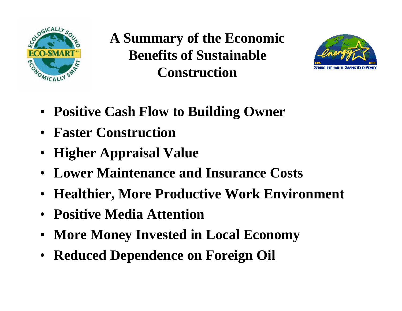

**A Summary of the Economic Benefits of Sustainable Construction**



- **Positive Cash Flow to Building Owner**
- **Faster Construction**
- **Higher Appraisal Value**
- **Lower Maintenance and Insurance Costs**
- **Healthier, More Productive Work Environment**
- **Positive Media Attention**
- **More Money Invested in Local Economy**
- **Reduced Dependence on Foreign Oil**